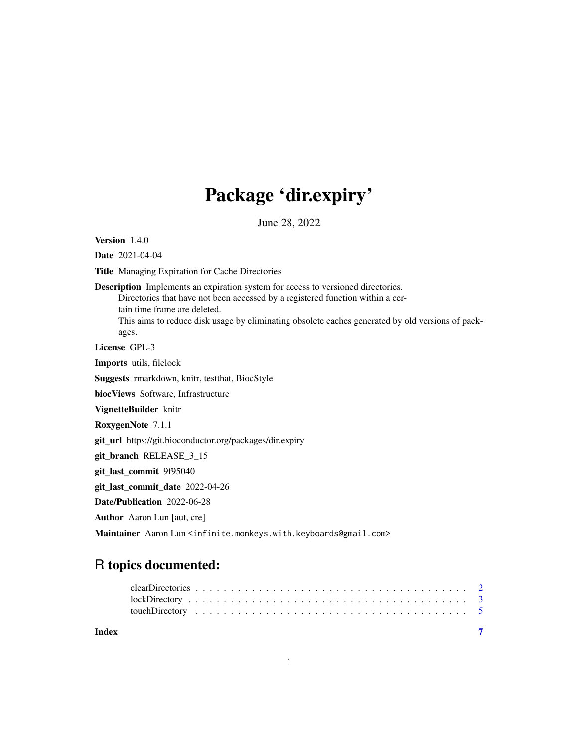## Package 'dir.expiry'

June 28, 2022

<span id="page-0-0"></span>Version 1.4.0

Date 2021-04-04

Title Managing Expiration for Cache Directories

Description Implements an expiration system for access to versioned directories. Directories that have not been accessed by a registered function within a cer-

tain time frame are deleted.

This aims to reduce disk usage by eliminating obsolete caches generated by old versions of packages.

License GPL-3

Imports utils, filelock

Suggests rmarkdown, knitr, testthat, BiocStyle

biocViews Software, Infrastructure

VignetteBuilder knitr

RoxygenNote 7.1.1

git\_url https://git.bioconductor.org/packages/dir.expiry

git\_branch RELEASE\_3\_15

git\_last\_commit 9f95040

git\_last\_commit\_date 2022-04-26

Date/Publication 2022-06-28

Author Aaron Lun [aut, cre]

Maintainer Aaron Lun <infinite.monkeys.with.keyboards@gmail.com>

## R topics documented: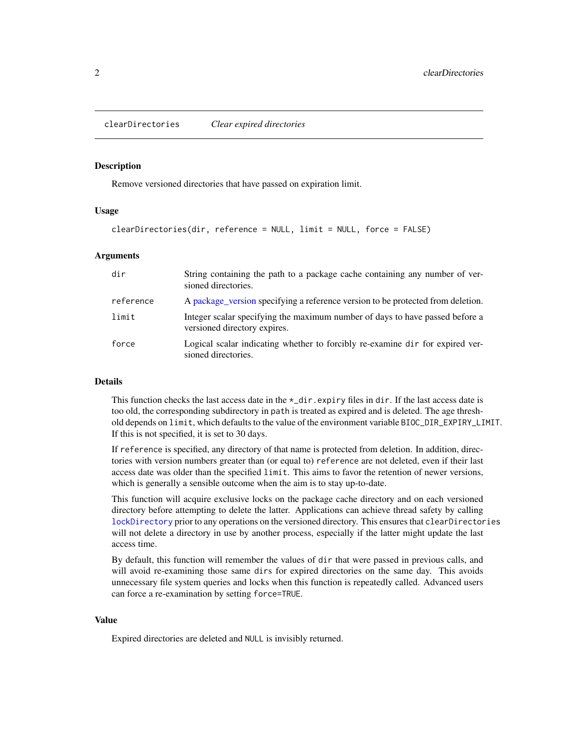<span id="page-1-1"></span><span id="page-1-0"></span>clearDirectories *Clear expired directories*

## Description

Remove versioned directories that have passed on expiration limit.

## Usage

```
clearDirectories(dir, reference = NULL, limit = NULL, force = FALSE)
```
## Arguments

| dir       | String containing the path to a package cache containing any number of ver-<br>sioned directories.           |
|-----------|--------------------------------------------------------------------------------------------------------------|
| reference | A package_version specifying a reference version to be protected from deletion.                              |
| limit     | Integer scalar specifying the maximum number of days to have passed before a<br>versioned directory expires. |
| force     | Logical scalar indicating whether to forcibly re-examine dir for expired ver-<br>sioned directories.         |

### Details

This function checks the last access date in the  $\star$ \_dir.expiry files in dir. If the last access date is too old, the corresponding subdirectory in path is treated as expired and is deleted. The age threshold depends on limit, which defaults to the value of the environment variable BIOC\_DIR\_EXPIRY\_LIMIT. If this is not specified, it is set to 30 days.

If reference is specified, any directory of that name is protected from deletion. In addition, directories with version numbers greater than (or equal to) reference are not deleted, even if their last access date was older than the specified limit. This aims to favor the retention of newer versions, which is generally a sensible outcome when the aim is to stay up-to-date.

This function will acquire exclusive locks on the package cache directory and on each versioned directory before attempting to delete the latter. Applications can achieve thread safety by calling [lockDirectory](#page-2-1) prior to any operations on the versioned directory. This ensures that clearDirectories will not delete a directory in use by another process, especially if the latter might update the last access time.

By default, this function will remember the values of dir that were passed in previous calls, and will avoid re-examining those same dirs for expired directories on the same day. This avoids unnecessary file system queries and locks when this function is repeatedly called. Advanced users can force a re-examination by setting force=TRUE.

## Value

Expired directories are deleted and NULL is invisibly returned.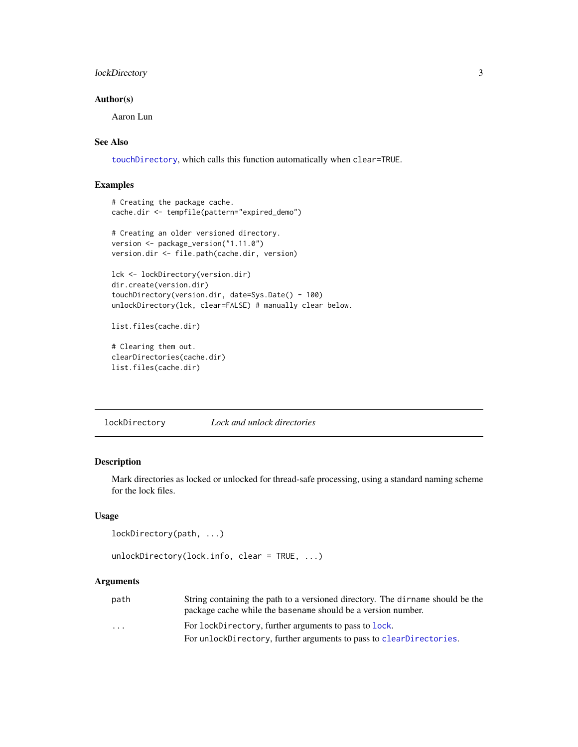## <span id="page-2-0"></span>lockDirectory 3

## Author(s)

Aaron Lun

## See Also

[touchDirectory](#page-4-1), which calls this function automatically when clear=TRUE.

## Examples

```
# Creating the package cache.
cache.dir <- tempfile(pattern="expired_demo")
# Creating an older versioned directory.
version <- package_version("1.11.0")
```
version.dir <- file.path(cache.dir, version)

```
lck <- lockDirectory(version.dir)
dir.create(version.dir)
touchDirectory(version.dir, date=Sys.Date() - 100)
unlockDirectory(lck, clear=FALSE) # manually clear below.
```

```
list.files(cache.dir)
```

```
# Clearing them out.
clearDirectories(cache.dir)
list.files(cache.dir)
```
<span id="page-2-1"></span>lockDirectory *Lock and unlock directories*

## Description

Mark directories as locked or unlocked for thread-safe processing, using a standard naming scheme for the lock files.

## Usage

```
lockDirectory(path, ...)
```

```
unlockDirectory(lock.info, clear = TRUE, ...)
```
## Arguments

| path                    | String containing the path to a versioned directory. The dirname should be the |
|-------------------------|--------------------------------------------------------------------------------|
|                         | package cache while the base name should be a version number.                  |
| $\cdot$ $\cdot$ $\cdot$ | For lockDirectory, further arguments to pass to lock.                          |
|                         | For unlockDirectory, further arguments to pass to clearDirectories.            |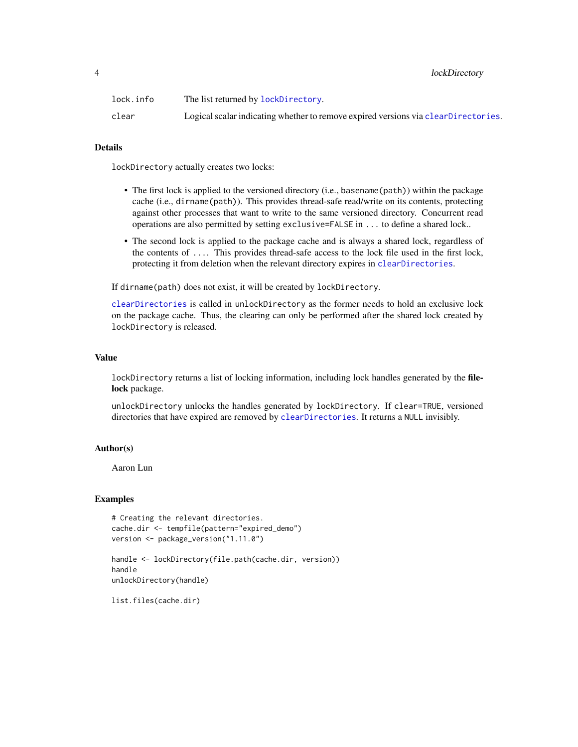## <span id="page-3-0"></span>4 lockDirectory

| lock.info | The list returned by lockDirectory.                                                |
|-----------|------------------------------------------------------------------------------------|
| clear     | Logical scalar indicating whether to remove expired versions via clearDirectories. |

## Details

lockDirectory actually creates two locks:

- The first lock is applied to the versioned directory (i.e., basename (path)) within the package cache (i.e., dirname(path)). This provides thread-safe read/write on its contents, protecting against other processes that want to write to the same versioned directory. Concurrent read operations are also permitted by setting exclusive=FALSE in ... to define a shared lock..
- The second lock is applied to the package cache and is always a shared lock, regardless of the contents of .... This provides thread-safe access to the lock file used in the first lock, protecting it from deletion when the relevant directory expires in [clearDirectories](#page-1-1).

If dirname(path) does not exist, it will be created by lockDirectory.

[clearDirectories](#page-1-1) is called in unlockDirectory as the former needs to hold an exclusive lock on the package cache. Thus, the clearing can only be performed after the shared lock created by lockDirectory is released.

## Value

lockDirectory returns a list of locking information, including lock handles generated by the filelock package.

unlockDirectory unlocks the handles generated by lockDirectory. If clear=TRUE, versioned directories that have expired are removed by [clearDirectories](#page-1-1). It returns a NULL invisibly.

## Author(s)

Aaron Lun

#### Examples

```
# Creating the relevant directories.
cache.dir <- tempfile(pattern="expired_demo")
version <- package_version("1.11.0")
```

```
handle <- lockDirectory(file.path(cache.dir, version))
handle
unlockDirectory(handle)
```
list.files(cache.dir)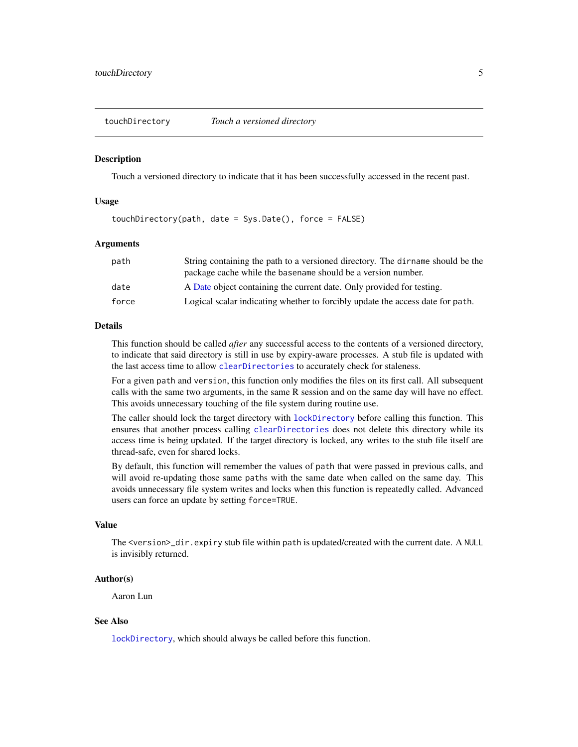<span id="page-4-1"></span><span id="page-4-0"></span>

#### **Description**

Touch a versioned directory to indicate that it has been successfully accessed in the recent past.

### Usage

touchDirectory(path, date = Sys.Date(), force = FALSE)

## Arguments

| path  | String containing the path to a versioned directory. The director should be the |
|-------|---------------------------------------------------------------------------------|
|       | package cache while the basename should be a version number.                    |
| date  | A Date object containing the current date. Only provided for testing.           |
| force | Logical scalar indicating whether to forcibly update the access date for path.  |

## Details

This function should be called *after* any successful access to the contents of a versioned directory, to indicate that said directory is still in use by expiry-aware processes. A stub file is updated with the last access time to allow [clearDirectories](#page-1-1) to accurately check for staleness.

For a given path and version, this function only modifies the files on its first call. All subsequent calls with the same two arguments, in the same R session and on the same day will have no effect. This avoids unnecessary touching of the file system during routine use.

The caller should lock the target directory with [lockDirectory](#page-2-1) before calling this function. This ensures that another process calling [clearDirectories](#page-1-1) does not delete this directory while its access time is being updated. If the target directory is locked, any writes to the stub file itself are thread-safe, even for shared locks.

By default, this function will remember the values of path that were passed in previous calls, and will avoid re-updating those same paths with the same date when called on the same day. This avoids unnecessary file system writes and locks when this function is repeatedly called. Advanced users can force an update by setting force=TRUE.

#### Value

The <version>\_dir.expiry stub file within path is updated/created with the current date. A NULL is invisibly returned.

#### Author(s)

Aaron Lun

## See Also

[lockDirectory](#page-2-1), which should always be called before this function.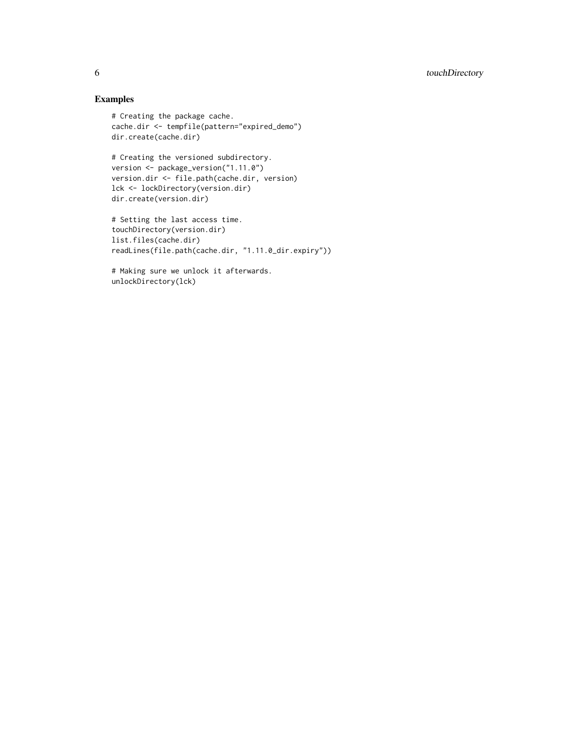## Examples

```
# Creating the package cache.
cache.dir <- tempfile(pattern="expired_demo")
dir.create(cache.dir)
```

```
# Creating the versioned subdirectory.
version <- package_version("1.11.0")
version.dir <- file.path(cache.dir, version)
lck <- lockDirectory(version.dir)
dir.create(version.dir)
```

```
# Setting the last access time.
touchDirectory(version.dir)
list.files(cache.dir)
readLines(file.path(cache.dir, "1.11.0_dir.expiry"))
```

```
# Making sure we unlock it afterwards.
unlockDirectory(lck)
```